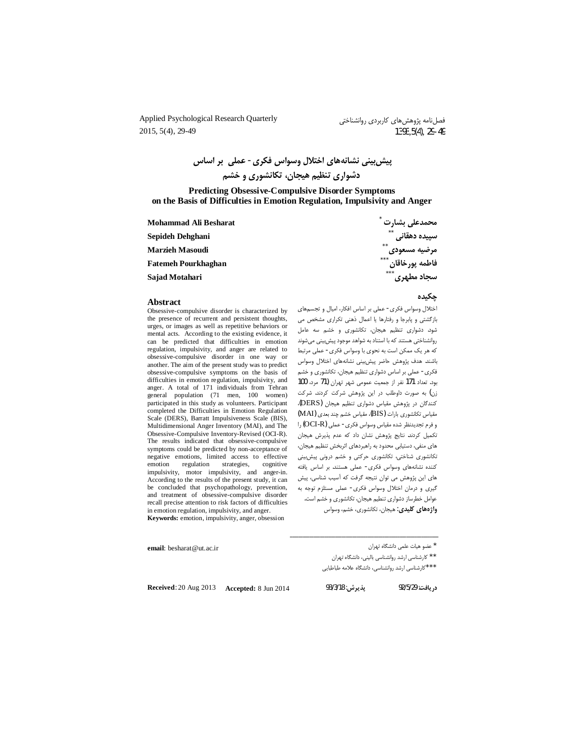Applied Psychological Research Quarterly 2015, 5(4), 29-49

فصلنامه پژوهشهای کاربردی روانشناختی 1393.5(4), 29-49

پیش بینی نشانههای اختلال وسواس فکری- عملی بر اساس دشواری تنظیم هیجان، تکانشوری و خشم

#### **Predicting Obsessive-Compulsive Disorder Symptoms** on the Basis of Difficulties in Emotion Regulation, Impulsivity and Anger

| Mohammad Ali Besharat      | محمدعلى بشارت           |
|----------------------------|-------------------------|
| Sepideh Dehghani           | $***$<br>سپیده دهقانی   |
| <b>Marzieh Masoudi</b>     | $***$<br>مرضيه مسعودي   |
| <b>Fatemeh Pourkhaghan</b> | $***$<br>فاطمه يورخاقان |
| Sajad Motahari             | $***$<br>سجاد مطهري     |

#### جكىدە

اختلال وسواس فكرى- عملى بر اساس افكار، اميال و تجسمهاى

بازگشتی و پابرجا و رفتارها یا اعمال ذهنی تکراری مشخص می

شود. دشواری تنظیم هیجان، تکانشوری و خشم سه عامل

روانشناختی هستند که با استناد به شواهد موجود پیش بینی می شوند

که هر یک ممکن است به نحوی با وسواس فکری- عملی مرتبط

باشند. هدف پژوهش حاضر پیش بینی نشانههای اختلال وسواس

فکری- عملی بر اساس دشواری تنظیم هیجان، تکانشوری و خشم

بود. تعداد 171 نفر از جمعیت عمومی شهر تهران (71 مرد، 100

زن) به صورت داوطلب در این پژوهش شرکت کردند. شرکت

کنندگان در پژوهش مقیاس دشواری تنظیم هیجان (DERS)،

مقياس تكانشوري بارات (BIS)، مقياس خشم چند بعدي (MAI)

و فرم تجدیدنظر شده مقیاس وسواس فکری- عملی (OCI-R) را

تكميل كردند. نتايج پژوهش نشان داد كه عدم پذيرش هيجان

های منفی، دستیابی محدود به راهبردهای اثربخش تنظیم هیجان،

۔<br>تکانشوری شناختی، تکانشوری حرکتی و خشم درونی پیش بینی

کننده نشانههای وسواس فکری- عملی هستند. بر اساس یافته

های این پژوهش می توان نتیجه گرفت که آسیب شناسی، پیش

گیری و درمان اختلال وسواس فکری- عملی مستلزم توجه به

عوامل خطرساز دشواری تنطیم هیجان، تکانشوری و خشم است.

# **Abstract**

Obsessive-compulsive disorder is characterized by the presence of recurrent and persistent thoughts, urges, or images as well as repetitive behaviors or mental acts. According to the existing evidence, it can be predicted that difficulties in emotion regulation, impulsivity, and anger are related to obsessive-compulsive disorder in one way or another. The aim of the present study was to predict obsessive-compulsive symptoms on the basis of difficulties in emotion regulation, impulsivity, and anger. A total of 171 individuals from Tehran general population (71 men, 100 women) participated in this study as volunteers. Participant completed the Difficulties in Emotion Regulation Scale (DERS), Barratt Impulsiveness Scale (BIS), Multidimensional Anger Inventory (MAI), and The Obsessive-Compulsive Inventory-Revised (OCI-R). The results indicated that obsessive-compulsive symptoms could be predicted by non-acceptance of negative emotions, limited access to effective regulation emotion strategies. cognitive impulsivity, motor impulsivity, and anger-in. According to the results of the present study, it can be concluded that psychopathology, prevention, and treatment of obsessive-compulsive disorder recall precise attention to risk factors of difficulties in emotion regulation, impulsivity, and anger. Keywords: emotion, impulsivity, anger, obsession

email: besharat@ut.ac.ir

\* عضو هيات علمى دانشگاه تهران

\*\* كارشناسي ارشد روانشناسي باليني، دانشگاه تهران

واژههای کلیدی: هیجان، تکانشوری، خشم، وسواس

\*\*\*كارشناسي ارشد روانشناسي، دانشگاه علامه طباطبايي

Received: 20 Aug 2013 Accepted: 8 Jun 2014

يديرش: 93/3/18

د, بافت: 92/5/29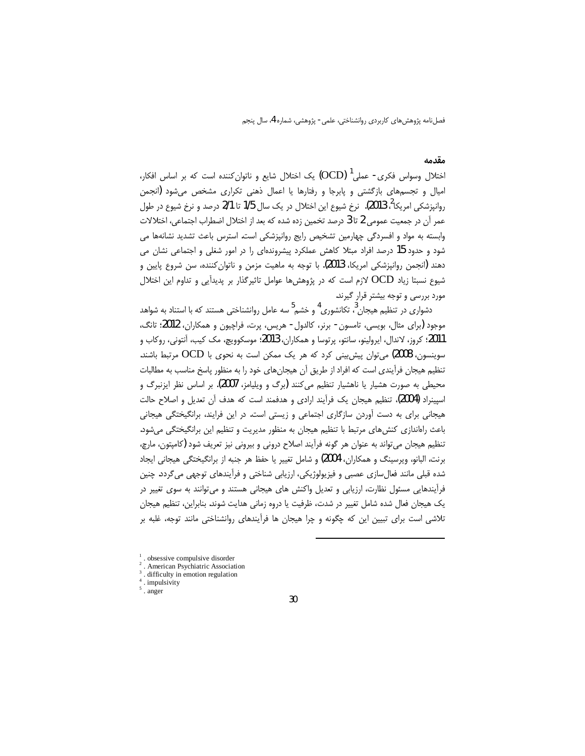### مقدمه

اختلال وسواس فکری- عملی<sup>1</sup> (OCD) یک اختلال شایع و ناتوان کننده است که بر اساس افکار، امیال و تجسمهای بازگشتی و پابرجا و رفتارها یا اعمال ذهنی تکراری مشخص میشود (انجمن روانپزشکی امریکا<sup>2</sup>، 2013). نرخ شیوع این اختلال در یک سال 1/5 تا 2/1 درصد و نرخ شیوع در طول عمر آن در جمعیت عمومی 2 تا 3 درصد تخمین زده شده که بعد از اختلال اضطراب اجتماعی، اختلالات وابسته به مواد و افسردگی چهارمین تشخیص رایج روانپزشکی است. استرس باعث تشدید نشانهها می شود و حدود 15 درصد افراد مبتلا کاهش عملکرد پیشروندهای را در امور شغلی و اجتماعی نشان می دهند (انجمن روانپزشکی امریکا، 2013). با توجه به ماهیت مزمن و ناتوان کننده، سن شروع پایین و شیوع نسبتا زیاد OCD لازم است که در پژوهشها عوامل تاثیرگذار بر پدیدآیی و تداوم این اختلال مورد بررسی و توجه بیشتر قرار گیرند.

دشواری در تنظیم هیجان <sup>3</sup>، تکانشوری <sup>4</sup> و خشم <sup>5</sup> سه عامل روانشناختی هستند که با استناد به شواهد موجود (برای مثال، بویسی، تامسون- برنر، کالدول- هریس، پرت، فراچیون و همکاران، 2012؛ تانگ، 2011؛ کروز، لاندال، ایرولینو، سانتو، پرتوسا و همکاران، 2013؛ موسکوویچ، مک کیب، آنتونی، روکاب و سوینسون، 2008) میتوان پیش بینی کرد که هر یک ممکن است به نحوی با OCD مرتبط باشند. تنظیم هیجان فرآیندی است که افراد از طریق آن هیجانهای خود را به منظور پاسخ مناسب به مطالبات محيطي به صورت هشيار يا ناهشيار تنظيم مي كنند (برگ و ويليامز، 2007). بر اساس نظر ايزنبرگ و اسپینراد (2004)، تنظیم هیجان یک فرآیند ارادی و هدفمند است که هدف آن تعدیل و اصلاح حالت هیجانی برای به دست آوردن سازگاری اجتماعی و زیستی است. در این فرایند، برانگیختگی هیجانی باعث راهاندازی کنش های مرتبط با تنظیم هیجان به منظور مدیریت و تنظیم این برانگیختگی می شود. تنظیم هیجان می تواند به عنوان هر گونه فرآیند اصلاح درونی و بیرونی نیز تعریف شود (کامیتون، مارچ، برنت، البانو، ويرسينگ و همكاران، 2004) و شامل تغيير يا حفظ هر جنبه از برانگيختگي هيجاني ايجاد شده قبلی مانند فعالِسازی عصبی و فیزیولوژیکی، ارزیابی شناختی و فرآیندهای توجهی میگردد. چنین فرآیندهایی مسئول نظارت، ارزیابی و تعدیل واکنش های هیجانی هستند و می توانند به سوی تغییر در یک هیجان فعال شده شامل تغییر در شدت، ظرفیت یا دروه زمانی هدایت شوند. بنابراین، تنظیم هیجان تلاشی است برای تبیین این که چگونه و چرا هیجان ها فرآیندهای روانشناختی مانند توجه، غلبه بر

<sup>,</sup> obsessive compulsive disorder

American Psychiatric Association

difficulty in emotion regulation

 $4 \cdot$  impulsivity

<sup>.</sup> anger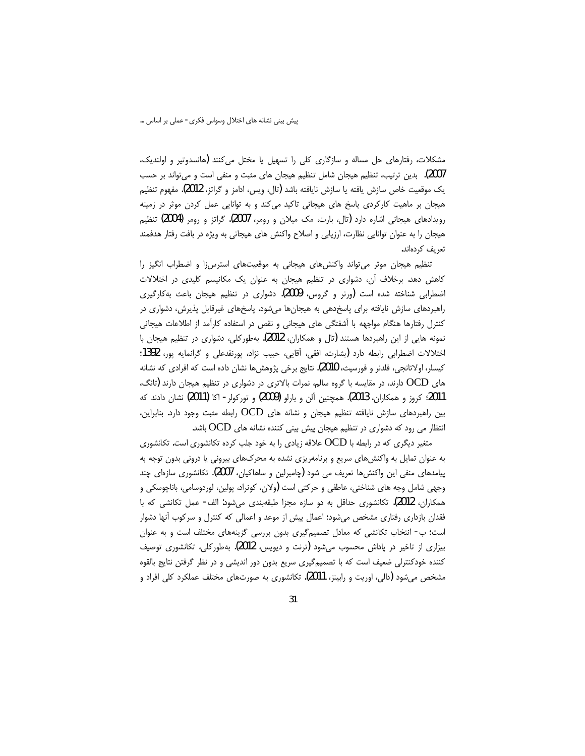مشکلات، رفتارهای حل مساله و سازگاری کلی را تسهیل یا مختل میکنند (هانسدوتیر و اولندیک، 2007). بدین ترتیب، تنظیم هیجان شامل تنظیم هیجان های مثبت و منفی است و میتواند بر حسب يک موقعيت خاص سازش يافته يا سازش نايافته باشد (تال، ويس، ادامز و گراتز، 2012). مفهوم تنظيم هیجان بر ماهیت کارکردی پاسخ های هیجانی تاکید میکند و به توانایی عمل کردن موثر در زمینه رویدادهای هیجانی اشاره دارد (تال، بارت، مک میلان و رومر، 2007). گراتز و رومر (2004) تنظیم هیجان را به عنوان توانایی نظارت، ارزیابی و اصلاح واکنش های هیجانی به ویژه در بافت رفتار هدفمند تعریف کردهاند.

تنظیم هیجان موثر می تواند واکنش های هیجانی به موقعیتهای استرسiا و اضطراب انگیز را کاهش دهد. برخلاف آن، دشواری در تنظیم هیجان به عنوان یک مکانیسم کلیدی در اختلالات اضطرابی شناخته شده است (ورنر و گروس، 2009). دشواری در تنظیم هیجان باعث بهکارگیری راهبردهای سازش نایافته برای پاسخدهی به هیجانها میشود. پاسخهای غیرقابل پذیرش، دشواری در کنترل رفتارها هنگام مواجهه با أشفتگی های هیجانی و نقص در استفاده کارآمد از اطلاعات هیجانی نمونه هایی از این راهبردها هستند (تال و همکاران، 2012). بهطورکلی، دشواری در تنظیم هیجان با اختلالات اضطرابي رابطه دارد (بشارت، افقى، آقايي، حبيب نژاد، پورنقدعلى و گرانمايه يور، 1392؛ كيسلر، اولاتانجي، فلدنر و فورسيث، 2010). نتايج برخي پژوهشها نشان داده است كه افرادي كه نشانه های OCD دارند، در مقایسه با گروه سالم، نمرات بالاتری در دشواری در تنظیم هیجان دارند (تانگ، 2011؛ کروز و همکاران، 2013). همچنین آلن و بارلو (2009) و تورکولر- اکا (2011) نشان دادند که بین راهبردهای سازش نایافته تنظیم هیجان و نشانه های OCD رابطه مثبت وجود دارد. بنابراین، انتظار می رود که دشواری در تنظیم هیجان پیش بینی کننده نشانه های OCD باشد.

متغیر دیگری که در رابطه با OCD علاقه زیادی را به خود جلب کرده تکانشوری است. تکانشوری به عنوان تمایل به واکنش های سریع و برنامهریزی نشده به محرکهای بیرونی یا درونی بدون توجه به پیامدهای منفی این واکنش ها تعریف می شود (چامبرلین و ساهاکیان، 2007). تکانشوری سازمای چند وجهي شامل وجه هاي شناختي، عاطفي و حركتي است (ولان، كونراد، پولين، لوردوسامي، باناچوسكي و همکاران، 2012). تکانشوری حداقل به دو سازه مجزا طبقهبندی میشود: الف- عمل تکانشی که با فقدان بازداری رفتاری مشخص میشود؛ اعمال پیش از موعد و اعمالی که کنترل و سرکوب آنها دشوار است؛ ب- انتخاب تکانشی که معادل تصمیم گیری بدون بررسی گزینههای مختلف است و به عنوان بیزاری از تاخیر در پاداش محسوب میشود (ترنت و دیویس، 2012). بهطورکلی، تکانشوری توصیف کننده خودکنترلی ضعیف است که با تصمیمگیری سریع بدون دور اندیشی و در نظر گرفتن نتایج بالقوه مشخص می شود (دالی، اوریت و رابینز، 2011). تکانشوری به صورتهای مختلف عملکرد کلی افراد و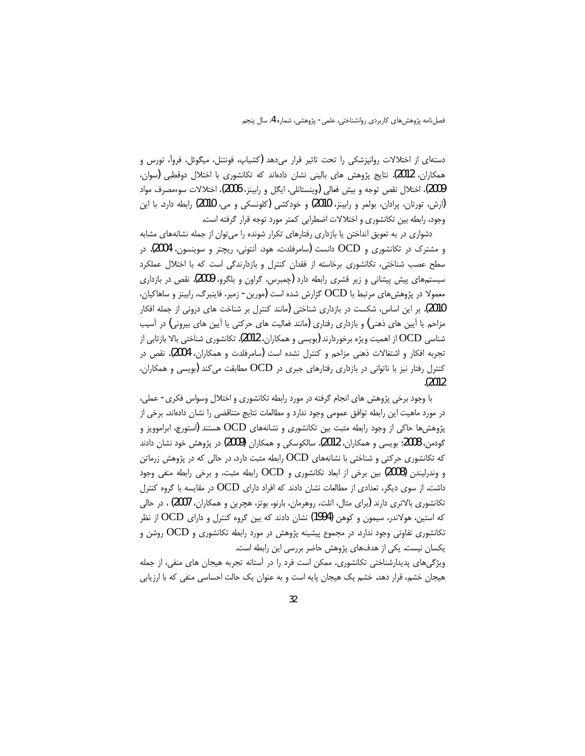دستهای از اختلالات روانپزشکی را تحت تاثیر قرار میدهد (کشیاپ، فونتنل، میگوئل، فروآ، تورس و همکاران، 2012). نتايج پژوهش هاي باليني نشان دادهاند که تکانشوري با اختلال دوقطبي (سوان، 2009)، اختلال نقص توجه و بيش فعالي (وينستانلي، ايگل و رابينز، 2006)، اختلالات سوءمصرف مواد (ارش، تورتان، پرادان، بولمر و رابينز، 2010) و خودكشى (كلونسكى و مى، 2010) رابطه دارد. با اين وجود، رابطه بین تکانشوری و اختلالات اضطرابی کمتر مورد توجه قرار گرفته است.

دشواری در به تعویق انداختن یا بازداری رفتارهای تکرار شونده را می توان از جمله نشانههای مشابه و مشترک در تکانشوری و OCD دانست (سامرفلدت، هود، اَنتونی، ریچتر و سوینسون، 2004). در سطح عصب شناختی، تکانشوری برخاسته از فقدان کنترل و بازدارندگی است که با اختلال عملکرد سیستمهای پیش پیشانی و زیر قشری رابطه دارد (چمبرس، گراون و بلگرو، 2009). نقص در بازداری معمولا در پژوهشهای مرتبط با OCD گزارش شده است (مورین - زمیر، فاینبرگ، رابینز و ساهاکیان، 2010). بر این اساس، شکست در بازداری شناختی (مانند کنترل بر شناخت های درونی از جمله افکار مزاحم یا آیین های ذهنی) و بازداری رفتاری (مانند فعالیت های حرکتی یا آیین های بیرونی) در آسیب شناسی OCD از اهمیت ویژه برخوردارند (بویسی و همکاران، 2012). تکانشوری شناختی بالا بازتابی از تجربه افکار و اشتغالات ذهنی مزاحم و کنترل نشده است (سامرفلدت و همکاران، 2004). نقص در کنترل رفتار نیز با ناتوانی در بازداری رفتارهای جبری در OCD مطابقت می کند (بویسی و همکاران،  $(2012)$ 

با وجود برخی پژوهش های انجام گرفته در مورد رابطه تکانشوری و اختلال وسواس فکری- عملی، در مورد ماهیت این رابطه توافق عمومی وجود ندارد و مطالعات نتایج متناقضی را نشان دادهاند. برخی از پژوهشها حاکی از وجود رابطه مثبت بین تکانشوری و نشانههای OCD هستند (استورچ، ابراموویز و گودمن، 2008؛ بویسی و همکاران، 2012). سالکوسکی و همکاران (2009) در پژوهش خود نشان دادند که تکانشوری حرکتی و شناختی با نشانههای OCD رابطه مثبت دارد، در حالی که در پژوهش زرماتن و وندرلیندن (2008) بین برخی از ابعاد تکانشوری و OCD رابطه مثبت، و برخی رابطه منفی وجود داشت. از سوی دیگر، تعدادی از مطالعات نشان دادند که افراد دارای OCD در مقایسه با گروه کنترل تکانشوری بالاتری دارند (برای مثال، اتلت، روهرمان، بارنو، بوتز، هچرین و همکاران، 2007) ، در حالی که استین، هولاندر، سیمون و کوهن (1994) نشان دادند که بین گروه کنترل و دارای OCD از نظر تکانشوری تفاوتی وجود ندارد. در مجموع پیشینه پژوهش در مورد رابطه تکانشوری و OCD روشن و یکسان نیست. یکی از هدفهای پژوهش حاضر بررسی این رابطه است.

ویژگیهای پدیدارشناختی تکانشوری، ممکن است فرد را در آستانه تجربه هیجان های منفی، از جمله هیجان خشم، قرار دهد. خشم یک هیجان پایه است و به عنوان یک حالت احساسی منفی که با ارزیابی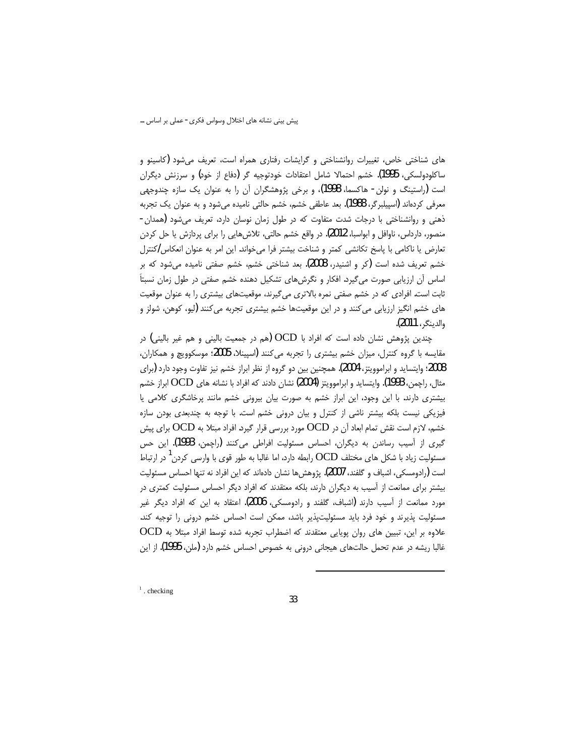های شناختی خاص، تغییرات روانشناختی و گرایشات رفتاری همراه است، تعریف میشود (کاسینو و ساکلودولسکی، 1995). خشم احتمالا شامل اعتقادات خودتوجیه گر (دفاع از خود) و سرزنش دیگران است (راستینگ و نولن- هاکسما، 1998)، و برخی پژوهشگران آن را به عنوان یک سازه چندوجهی معرفی کردهاند (اسپیلبرگر، 1988). بعد عاطفی خشم، خشم حالتی نامیده میشود و به عنوان یک تجربه ذهنی و روانشناختی با درجات شدت متفاوت که در طول زمان نوسان دارد، تعریف میشود (همدان-منصور، دارداس، ناوافل و ابواسبا، 2012). در واقع خشم حالتی، تلاشهایی را برای پردازش یا حل کردن تعارض یا ناکامی با پاسخ تکانشی کمتر و شناخت بیشتر فرا میخواند. این امر به عنوان انعکاس *ا*کنترل خشم تعریف شده است (کر و اشنیدر، 2008). بعد شناختی خشم، خشم صفتی نامیده می شود که بر اساس آن ارزیابی صورت می گیرد. افکار و نگرش های تشکیل دهنده خشم صفتی در طول زمان نسبتاً ثابت است. افرادی که در خشم صفتی نمره بالاتری میگیرند، موقعیتهای بیشتری را به عنوان موقعیت های خشم انگیز ارزیابی می کنند و در این موقعیتها خشم بیشتری تجربه می کنند (لیو، کوهن، شولز و والدينكر، 2011).

چندین پژوهش نشان داده است که افراد با OCD (هم در جمعیت بالینی و هم غیر بالینی) در مقایسه با گروه کنترل، میزان خشم بیشتری را تجربه میکنند (اسپینلا، 2005؛ موسکوویچ و همکاران، 2008؛ وایتساید و ابراموویتز، 2004). همچنین بین دو گروه از نظر ابراز خشم نیز تفاوت وجود دارد (برای مثال، راچمن، 1993). وايتسايد و ابراموويتز (2004) نشان دادند كه افراد با نشانه هاي OCD ابراز خشم بیشتری دارند. با این وجود، این ابراز خشم به صورت بیان بیرونی خشم مانند پرخاشگری کلامی یا فیزیکی نیست بلکه بیشتر ناشی از کنترل و بیان درونی خشم است. با توجه به چندبعدی بودن سازه خشم، لازم است نقش تمام ابعاد آن در OCD مورد بررسی قرار گیرد. افراد مبتلا به OCD برای پیش گیری از آسیب رساندن به دیگران، احساس مسئولیت افراطی می کنند (راچمن، 1993). این حس مسئولیت زیاد با شکل های مختلف OCD رابطه دارد، اما غالبا به طور قوی با وارسی کردن <sup>ا</sup> در ارتباط است (رادومسکی، اشباف و گلفند، 2007). پژوهش ها نشان دادهاند که این افراد نه تنها احساس مسئولیت بیشتر برای ممانعت از آسیب به دیگران دارند، بلکه معتقدند که افراد دیگر احساس مسئولیت کمتری در مورد ممانعت از آسیب دارند (اشباف، گلفند و رادومسکی، 2006). اعتقاد به این که افراد دیگر غیر مسئولیت پذیرند و خود فرد باید مسئولیتپذیر باشد، ممکن است احساس خشم درونی را توجیه کند. علاوه بر این، تبیین های روان پویایی معتقدند که اضطراب تجربه شده توسط افراد مبتلا به OCD غالبا ریشه در عدم تحمل حالتهای هیجانی درونی به خصوص احساس خشم دارد (ملن، 1995). از این

 $\frac{1}{1}$ . checking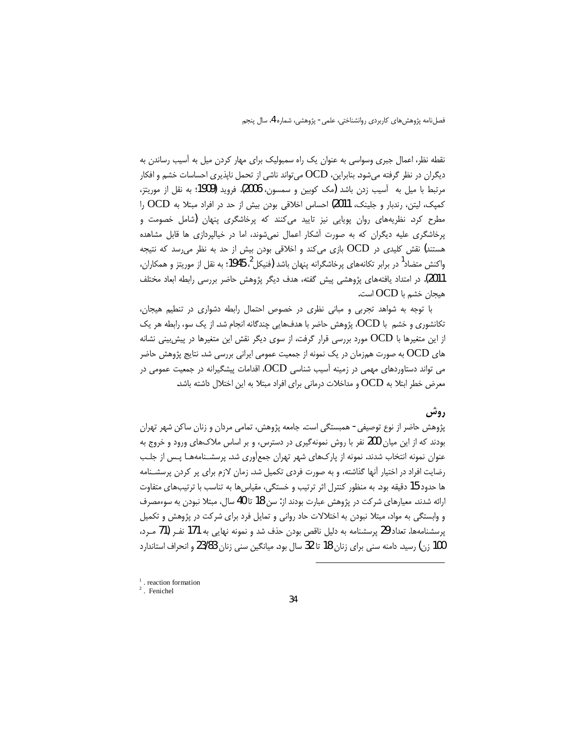نقطه نظر، اعمال جبری وسواسی به عنوان یک راه سمبولیک برای مهار کردن میل به آسیب رساندن به دیگران در نظر گرفته میشود. بنابراین، OCD میتواند ناشی از تحمل ناپذیری احساسات خشم و افکار مرتبط با میل به آسیب زدن باشد (مک کوبین و سمسون، 2006). فروید (1909؛ به نقل از موریتز، کمپک، لیتن، رندبار و جلینک، 2011) احساس اخلاقی بودن بیش از حد در افراد مبتلا به OCD را مطرح کرد. نظریههای روان پویایی نیز تایید میکنند که پرخاشگری پنهان (شامل خصومت و پرخاشگری علیه دیگران که به صورت آشکار اعمال نمیشوند، اما در خیالپردازی ها قابل مشاهده هستند) نقش کلیدی در OCD بازی میکند و اخلاقی بودن بیش از حد به نظر می سد که نتیجه واکنش متضاد<sup>1</sup> در برابر تکانههای پرخاشگرانه پنهان باشد **(ف**نیکل<sup>2</sup>، 1945؛ به نقل از موریتز و همکاران، 2011). در امتداد یافتههای پژوهشی پیش گفته، هدف دیگر پژوهش حاضر بررسی رابطه ابعاد مختلف هيجان خشم با OCD است.

با توجه به شواهد تجربی و مبانی نظری در خصوص احتمال رابطه دشواری در تنطیم هیجان، تکانشوری و خشم با OCD، پژوهش حاضر با هدفهایی چندگانه انجام شد. از یک سو، رابطه هر یک از این متغیرها با  ${\rm OCD}$  مورد بررسی قرار گرفت، از سوی دیگر نقش این متغیرها در پیش بینی نشانه های OCD به صورت همزمان در یک نمونه از جمعیت عمومی ایرانی بررسی شد. نتایج پژوهش حاضر می تواند دستاوردهای مهمی در زمینه آسیب شناسی OCD، اقدامات پیشگیرانه در جمعیت عمومی در معرض خطر ابتلا به OCD و مداخلات درمانی برای افراد مبتلا به این اختلال داشته باشد.

## روش

پژوهش حاضر از نوع توصیفی- همبستگی است. جامعه پژوهش، تمامی مردان و زنان ساکن شهر تهران بودند که از این میان 200 نفر با روش نمونهگیری در دسترس، و بر اساس ملاکهای ورود و خروج به عنوان نمونه انتخاب شدند. نمونه از پارکهای شهر تهران جمعآوری شد. پرسشـنامههـا پـس از جلـب رضایت افراد در اختیار آنها گذاشته، و به صورت فردی تکمیل شد. زمان لازم برای پر کردن پرسشـنامه ها حدود 15 دقیقه بود. به منظور کنترل اثر ترتیب و خستگی، مقیاسها به تناسب با ترتیبهای متفاوت ارائه شدند. معیارهای شرکت در پژوهش عبارت بودند از: سن 18 تا 40 سال، مبتلا نبودن به سوءمصرف و وابستگی به مواد، مبتلا نبودن به اختلالات حاد روانی و تمایل فرد برای شرکت در پژوهش و تکمیل پرسشنامهها. تعداد 29 پرسشنامه به دلیل ناقص بودن حذف شد و نمونه نهایی به 171 نفـر (71 مــرد، 100 زن) رسید. دامنه سنی برای زنان 18 تا 32 سال بود. میانگین سنی زنان 23/83 و انحراف استاندارد

 $1$ . reaction formation

 $2$ . Fenichel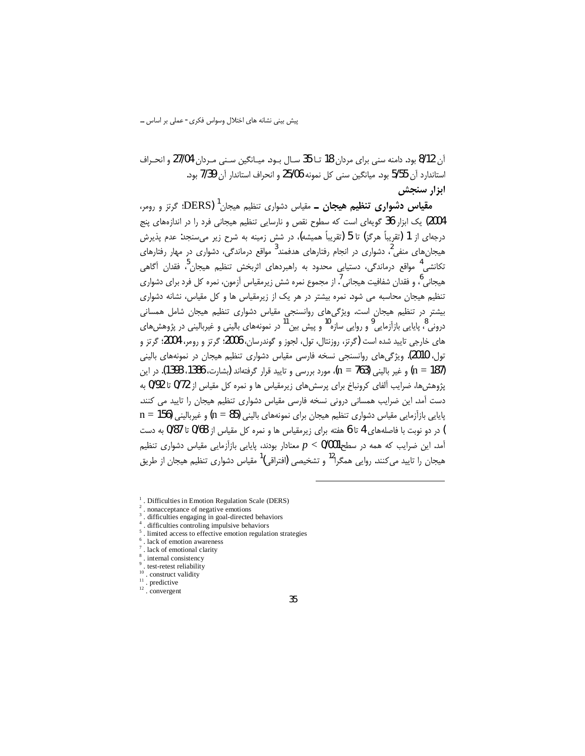آن 8/12 بود. دامنه سنی برای مردان 18 تـا 35 سـال بـود. میـانگین سـنی مـردان 27/04 و انحـراف استاندارد آن 5/55 بود. میانگین سنی کل نمونه 25/06 و انحراف استاندار آن 7/39 بود. ابزار سنجش

**مقیاس دشواری تنظیم هیجان ــ** مقیاس دشواری تنظیم هیجان<sup>1</sup> (DERS؛ گرتز و رومر، ۔<br>2004) یک ابزار 36 گویهای است که سطوح نقص و نارسایی تنظیم هیجانی فرد را در اندازههای پنج درجهای از 1 (تقریباً هرگز) تا 5 (تقریباً همیشه)، در شش زمینه به شرح زیر میٍسنجد: عدم پذیرش هیجانهای منفی<sup>2</sup>، دشواری در انجام رفتارهای هدفمند<sup>3</sup> مواقع درماندگی، دشواری در مهار رفتارهای تکانشی<sup>4</sup> مواقع درماندگی، دستیابی محدود به راهبردهای اثربخش تنظیم هیجان<sup>?</sup>، فقدان آگاهی هیجانی ؓ، و فقدان شفافیت هیجانی  $^7$  از مجموع نمره شش زیرمقیاس آزمون، نمره کل فرد برای دشواری تنظیم هیجان محاسبه می شود. نمره بیشتر در هر یک از زیرمقیاس ها و کل مقیاس، نشانه دشواری بیشتر در تنظیم هیجان است. ویژگیهای روانسنجی مقیاس دشواری تنظیم هیجان شامل همسانی درونی <sup>8</sup>، پایایی بازآزمایی <sup>9</sup> و روایی سازه<sup>10</sup> و پیش بین<sup>11</sup> در نمونههای بالینی و غیربالینی در پژوهشهای های خارجی تایید شده است (گرتز، روزنتال، تول، لجوز و گوندرسان، 2006؛ گرتز و رومر، 2004؛ گرتز و تول، 2010). ویژگیهای روانسنجی نسخه فارسی مقیاس دشواری تنظیم هیجان در نمونههای بالینی n = 187) و غير باليني (n = 763)، مورد بررسي و تاييد قرار گرفتهاند (يشارت، 1386، 1393). در اين یژوهش ها، ضرایب آلفای کرونباخ برای پرسش های زیرمقیاس ها و نمره کل مقیاس از 0/72 تا 0/92 به دست آمد. این ضرایب همسانی درونی نسخه فارسی مقیاس دشواری تنظیم هیجان را تایید می کنند.  $n = 156$  یاپایی بازآزمایی مقیاس دشواری تنظیم هیجان برای نمونههای بالینی  $(n = 85)$  و غیربالینی (156  $n = 1$ ) در دو نوبت با فاصلههای 4 تا 6 هفته برای زیرمقیاس ها و نمره کل مقیاس از 0/68 تا 0/87 به دست آمد. این ضرایب که همه در سطح $p < 0/001$  معنادار بودند، پایایی بازآزمایی مقیاس دشواری تنظیم هیجان را تایید می کنند. روایی همگرا<sup>12</sup> و تشخیصی (افتراقی)<sup>1</sup> مقیاس دشواری تنظیم هیجان از طریق

- $\frac{1}{1}$ . Difficulties in Emotion Regulation Scale (DERS)
- nonacceptance of negative emotions
- difficulties engaging in goal-directed behaviors
- difficulties controling impulsive behaviors
- limited access to effective emotion regulation strategies
- $<sup>6</sup>$ . lack of emotion awareness</sup>
- lack of emotional clarity
- <sup>8</sup>. internal consistency
- $\frac{9}{10}$  test-retest reliability
- . construct validity
- $11$ . predictive
- $12 \int_{0}^{12}$  convergent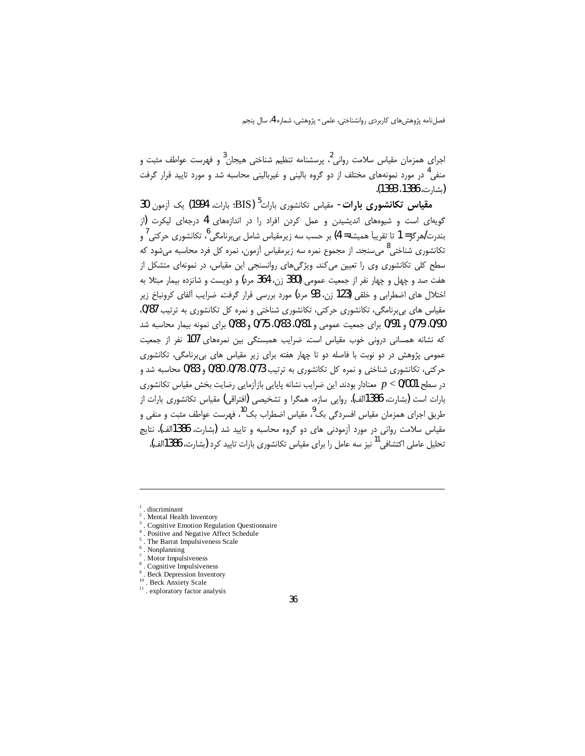اجرای همزمان مقیاس سلامت روانی <sup>2</sup> پرسشنامه تنظیم شناختی هیجان <sup>3</sup> و فهرست عواطف مثبت و منفی<sup>4</sup> در مورد نمونههای مختلف از دو گروه بالینی و غیربالینی محاسبه شد و مورد تایید قرار گرفت (شا، ت، 1386، 1393).

**مقیاس تکانشوری بارات-** مقیاس تکانشوری بارات<sup>5</sup> (BIS؛ بارات، 1994) یک آزمون 30 گویهای است و شیوههای اندیشیدن و عمل کردن افراد را در اندازههای 4 درجهای لیکرت (از بندرت/هرگز= 1 تا تقريباً هميشه= 4) بر حسب سه زيرمقياس شامل بي,برنامگي<sup>6</sup>، تكانشوري حركتي ُ و تکانشوری شناختی<sup>8</sup> میسنجد. از مجموع نمره سه زیرمقیاس آزمون، نمره کل فرد محاسبه میشود که سطح کلی تکانشوری وی را تعیین میکند. ویژگیهای روانسنجی این مقیاس، در نمونهای متشکل از هفت صد و چهل و چهار نفر از جمعیت عمومی (380 زن، 364 مرد) و دویست و شانزده بیمار مبتلا به اختلال های اضطرابی و خلقی (123 زن، 93 مرد) مورد بررسی قرار گرفت. ضرایب آلفای کرونباخ زیر مقیاس های بی برنامگی، تکانشوری حرکتی، تکانشوری شناختی و نمره کل تکانشوری به ترتیب 0/87. 0/90 0/79 و 0/91 برای جمعیت عمومی و 0/81، 0/83 0/75 و 0/88 برای نمونه بیمار محاسبه شد که نشانه همسانی درونی خوب مقیاس است. ضرایب همبستگی بین نمرههای 107 نفر از جمعیت عمومی پژوهش در دو نوبت با فاصله دو تا چهار هفته برای زیر مقیاس های بی برنامگی، تکانشوری حرکتی، تکانشوری شناختی و نمره کل تکانشوری به ترتیب 0/73، 0/78 0/80 و 0/83 محاسبه شد و در سطح 0/001 > p معنادار بودند. این ضرایب نشانه پایایی بازآزمایی رضایت بخش مقیاس تکانشوری بارات است (بشارت، 1386الف). روایی سازه، همگرا و تشخیصی (افتراقی) مقیاس تکانشوری بارات از طريق اجراي همزمان مقياس افسردگي بک<sup>0</sup>، مقياس اضطراب بک<sup>10</sup>، فهرست عواطف مثبت و منفي و مقياس سلامت رواني در مورد آزمودني هاي دو گروه محاسبه و تاييد شد (شارت، 1386الف). نتايج .<br>تحلیل عاملی اکتشافی<sup>11</sup> نیز سه عامل را برای مقیاس تکانشوری بارات تایید کرد **(**بشارت، 386الف).

- Cognitive Emotion Regulation Questionnaire
- Positive and Negative Affect Schedule
- <sup>5</sup>. The Barrat Impulsiveness Scale
- Nonplanning
- Motor Impulsiveness
- Cognitive Impulsiveness
- **Beck Depression Inventory**
- <sup>10</sup>. Beck Anxiety Scale
- <sup>11</sup> . exploratory factor analysis

discriminant

Mental Health Inventory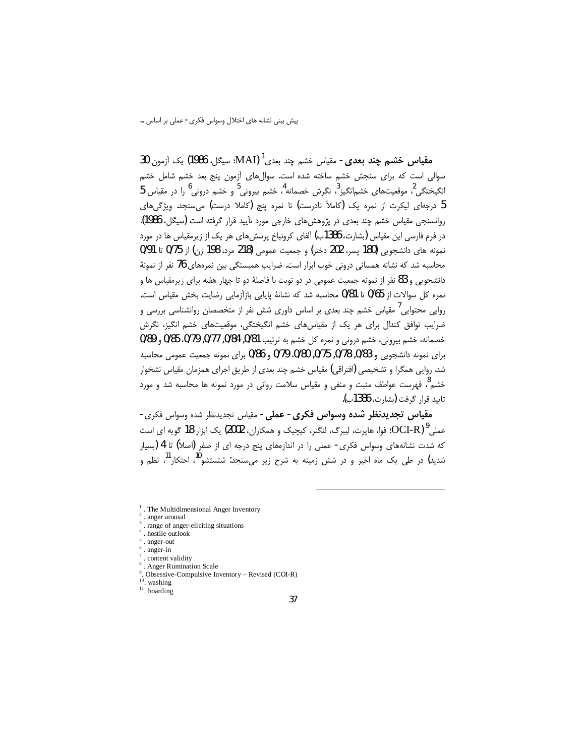م**قياس خشم چند بعدي-** مقياس خشم چند بعدي<sup>1</sup> (MAI؛ سيگل، 1986) يک آزمون 30 سوالی است که برای سنجش خشم ساخته شده است. سوالهای آزمون پنج بعد خشم شامل خشم  $5$  انگیختگے  $^2$ ، موقعیتھای خشمانگیز $^3$ ، نگرش خصمانه $^4$ ، خشم بیرونی ً و خشم درونی را در مقیاس  $^2$ 5 درجهای لیکرت از نمره یک (کاملاً نادرست) تا نمره پنج (کاملا درست) می سنجد. ویژگی های روانسنجی مقیاس خشم چند بعدی در پژوهشهای خارجی مورد تأیید قرار گرفته است (سیگل، 1986). در فرم فارسی این مقیاس (بشارت، 1386ب) آلفای کرونباخ پرسشهای هر یک از زیرمقیاس ها در مورد نمونه های دانشجویی (180 پسر، 202 دختر) و جمعیت عمومی (218 مرد، 198 زن) از 0/75 تا 0/91 محاسبه شد که نشانه همسانی درونی خوب ابزار است. ضرایب همبستگی بین نمرههای 76 نفر از نمونهٔ دانشجویی و 83 نفر از نمونه جمعیت عمومی در دو نوبت با فاصلهٔ دو تا چهار هفته برای زیرمقیاس ها و نمره كل سوالات از 0/65 تا 0/81 محاسبه شد كه نشانهٔ پایایی بازآزمایی رضایت بخش مقیاس است. روایے محتوایے ، مقیاس خشم چند بعدی بر اساس داوری شش نفر از متخصصان روانشناسی بررسی و است ضرایب توافق کندال برای هر یک از مقیاسهای خشم انگیختگی، موقعیتهای خشم انگیز، نگرش خصمانه، خشم بيروني، خشم دروني و نمره كل خشم به ترتيب 0/81, 0/84, 0/77, 0/79, 0/85 و 0/89 برای نمونه دانشجویی و 0/83, 0/78, 0/75, 0/80. 0/79 و 0/86 برای نمونه جمعیت عمومی محاسبه شد. روایی همگرا و تشخیصی (افتراقی) مقیاس خشم چند بعدی از طریق اجرای همزمان مقیاس نشخوار خشم<sup>8</sup>، فهرست عواطف مثبت و منفی و مقیاس سلامت روانی در مورد نمونه ها محاسبه شد و مورد تاييد قرار كرفت (بشارت، 1386ب).

**مقياس تجديدنظر شده وسواس فكرى- عملى-** مقياس تجديدنظر شده وسواس فكرى-عملي PCI-R)؛ فوا، هايرت، ليبرگ، لنگنر، كيچيک و همکاران، 2002) يک ابزار 18 گويه اي است که شدت نشانههای وسواس فکری- عملی را در اندازههای پنج درجه ای از صفر (اصلاً) تا 4 (بسیار شدید) در طی یک ماه اخیر و در شش زمینه به شرح زیر میسنجد: شتستشو<sup>10</sup>، احتکار<sup>11</sup>، نظ<sub>م و</sub>

- . The Multidimensional Anger Inventory
- . anger arousal
- range of anger-eliciting situations
- hostile outlook
- $5$ . anger-out . anger-in
- . content validity
- Anger Rumination Scale
- 
- Obsessive-Compulsive Inventory Revised (COI-R)  $10$ . washing
- $11$ . hoarding
	-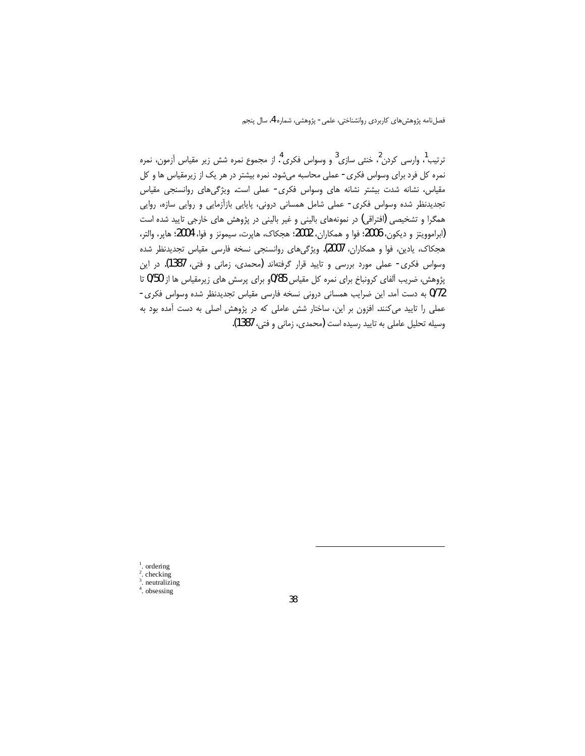ترتیب<sup>1</sup>، وارسی کردن <sup>2</sup>، خنثی سازی<sup>3</sup> و وسواس فکری <sup>4</sup>. از مجموع نمره شش زیر مقیاس آزمون، نمره نمره کل فرد برای وسواس فکری - عملی محاسبه میشود. نمره بیشتر در هر یک از زیرمقیاس ها و کل مقیاس، نشانه شدت بیشتر نشانه های وسواس فکری- عملی است. ویژگیهای روانسنجی مقیاس تجدیدنظر شده وسواس فکری- عملی شامل همسانی درونی، پایایی بازآزمایی و روایی سازه، روایی همگرا و تشخیصی (افتراقی) در نمونههای بالینی و غیر بالینی در پژوهش های خارجی تایید شده است (ابراموويتز و ديكون، 2006؛ فوا و همكاران، 2002؛ هجكاك، هاپرت، سيمونز و فوا، 2004؛ هاپر، والتر، هجکاک، یادین، فوا و همکاران، 2007). ویژگیهای روانسنجی نسخه فارسی مقیاس تجدیدنظر شده وسواس فكرى- عملى مورد بررسي و تاييد قرار گرفتهاند (محمدى، زماني و فتى، 1387). در اين پژوهش، ضریب آلفای کرونباخ برای نمره کل مقیاس 85/0و برای پرسش های زیرمقیاس ها از 50/0 تا 0/72 به دست آمد. این ضرایب همسانی درونی نسخه فارسی مقیاس تجدیدنظر شده وسواس فکری-عملی را تایید می کنند. افزون بر این، ساختار شش عاملی که در پژوهش اصلی به دست آمده بود به وسيله تحليل عاملي به تاييد رسيده است (محمدي، زماني و فتي، 1387).

 $\int_{2}^{1}$  ordering checking  $3.$  neutralizing <sup>4</sup>. obsessing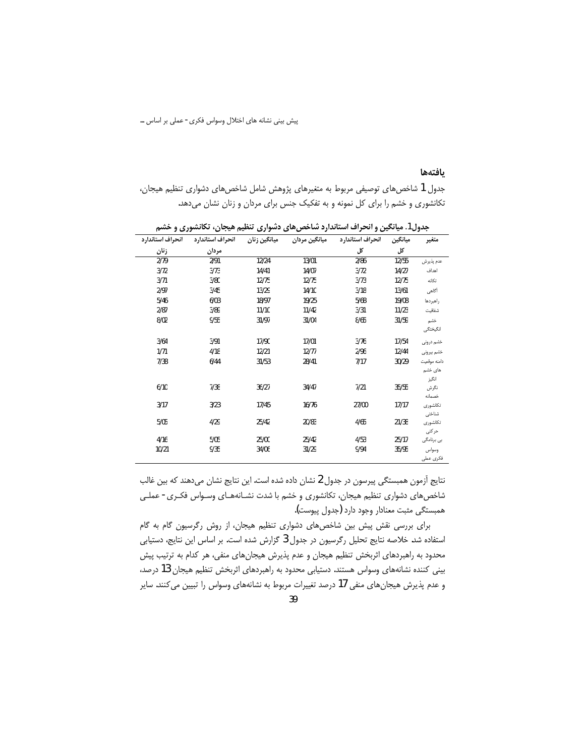پیش بینی نشانه های اختلال وسواس فکری- عملی بر اساس …

#### بافتهها

جدول 1 شاخصهای توصیفی مربوط به متغیرهای پژوهش شامل شاخصهای دشواری تنظیم هیجان، تکانشوری و خشم را برای کل نمونه و به تفکیک جنس برای مردان و زنان نشان میدهد.

| ı.<br>, .,,      |                  | -            | ◢             | "∽               |         | .,             |
|------------------|------------------|--------------|---------------|------------------|---------|----------------|
| انحراف استاندارد | انحراف استاندارد | ميانگين زنان | ميانگين مردان | انحراف استاندارد | ميانگين | متغير          |
| زنان             | مردان            |              |               | کل               | کل      |                |
| 2/79             | 2/91             | 12/24        | 13/01         | 2/86             | 12/55   | عدم پذيرش      |
| 3/72             | 3/73             | 14/41        | 14/07         | 3/72             | 14/27   | اهداف          |
| 3/71             | 3/80             | 12/75        | 12/75         | 3/73             | 12/75   | تكانه          |
| 2/97             | 3/45             | 13/29        | 14/10         | 3/18             | 13/61   | أگاهى          |
| 5/46             | 6/03             | 18/97        | 19/25         | 5/68             | 19/08   | راهبردها       |
| 2/87             | 3/89             | 11/10        | 11/42         | 3/31             | 11/23   | شفافيت         |
| 8/02             | 9/55             | 31/97        | 31/04         | 8/65             | 31/59   | خشم            |
|                  |                  |              |               |                  |         | انگیختگی       |
| 3/64             | 3/91             | 17/90        | 17/01         | 3/76             | 17/54   | خشم درونى      |
| 1/71             | 4/18             | 12/21        | 12/77         | 2/96             | 12/44   | خشم ييرونى     |
| 7/38             | 6/44             | 31/53        | 28/41         | 7/17             | 30/29   | دامنه موقعیت   |
|                  |                  |              |               |                  |         | های خشم        |
|                  |                  |              |               |                  |         | انگيز          |
| 6/10             | 7/38             | 36/27        | 34/47         | 7/21             | 35/55   | نگرش<br>خصمانه |
| 3/17             | 3/23             | 17/45        | 16/76         | 27/00            | 17/17   | تكانشورى       |
|                  |                  |              |               |                  |         | شناختى         |
| 5/05             | 4/29             | 25/42        | 20/83         | 4/65             | 21/38   | تكانشورى       |
|                  |                  |              |               |                  |         | حركتى          |
| 4/16             | 5/05             | 25/00        | 25/42         | 4/53             | 25/17   | بى برنامگى     |
| 10/21            | 9/35             | 34/06        | 31/29         | 9/94             | 35/95   | وسواس          |
|                  |                  |              |               |                  |         | فكرى عملى      |

جدول1. میانگین و انحراف استاندارد شاخص های دشواری تنظیم هیجان، تکانشوری و خشم

نتایج آزمون همبستگی پیرسون در جدول 2 نشان داده شده است. این نتایج نشان میدهند که بین غالب شاخصهای دشواری تنظیم هیجان، تکانشوری و خشم با شدت نشـانههـای وسـواس فکـری- عملـی همبستگی مثبت معنادار وجود دارد (جدول پیوست).

برای بررسی نقش پیش بین شاخص های دشواری تنظیم هیجان، از روش رگرسیون گام به گام استفاده شد. خلاصه نتایج تحلیل رگرسیون در جدول 3 گزارش شده است. بر اساس این نتایج، دستیابی محدود به راهبردهای اثربخش تنظیم هیجان و عدم پذیرش هیجانهای منفی، هر کدام به ترتیب پیش بینی کننده نشانههای وسواس هستند. دستیابی محدود به راهبردهای اثربخش تنظیم هیجان 13 درصد، و عدم پذیرش هیجانهای منفی 17 درصد تغییرات مربوط به نشانههای وسواس را تبیین میکنند. سایر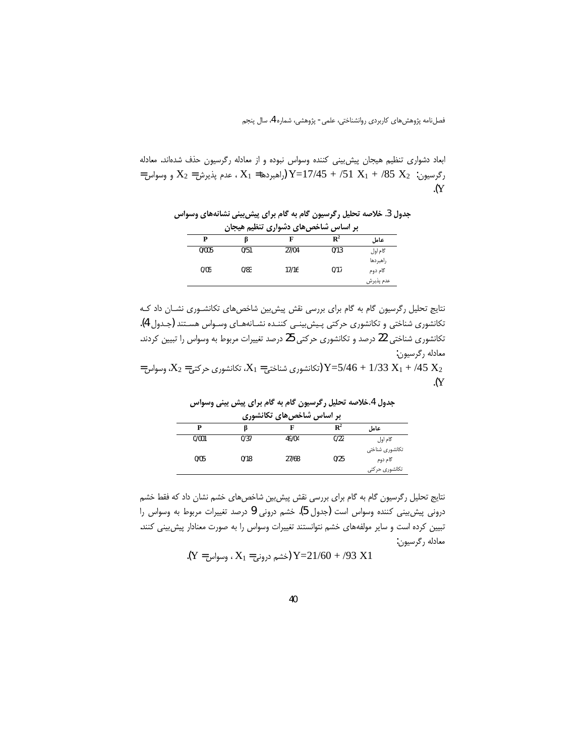ابعاد دشواری تنظیم هیجان پیش بینی کننده وسواس نبوده و از معادله رگرسیون حذف شدهاند. معادله = رگرسیون: 2 $X_1 + 51 X_1 + 51 X_2 + 17/45 + 17/45$  (راهبردها $X_1 = X_1 - X_2 = X_2$  و وسواس  $\overline{Y}$ 

جدول 3. خلاصه تحلیل رگرسیون گام به گام برای پیش بینی نشانههای وسواس بر اساس شاخصهای دشواری تنظیم هیجان

|       | ້<br>$\bullet\bullet\bullet$<br>$\mathbf{r}$ | -<br>ຼ<br>- | ້              | <i>.</i>  |
|-------|----------------------------------------------|-------------|----------------|-----------|
| P     |                                              |             | $\mathbf{R}^2$ | عامل      |
| 0/005 | 0/51                                         | 27/04       | 0/13           | گام اول   |
|       |                                              |             |                | راهبردها  |
| 0/05  | 0/83                                         | 17/16       | 0/17           | گام دوم   |
|       |                                              |             |                | عدم پذيرش |

نتایج تحلیل رگرسیون گام به گام برای بررسی نقش پیش بین شاخصهای تکانشوری نشـان داد کـه تكانشوري شناختي و تكانشوري حركتي پـيش.ينــي كننـده نشــانههــاي وســواس هســتند (جــدول 4). تکانشوری شناختی 22 درصد و تکانشوری حرکتی 25 درصد تغییرات مربوط به وسواس را تبیین کردند. معادله رگرسيون: = 7/46 + 1/33 X<sub>1</sub> + /45 (تکانشوری شناختی = 2 $X_1$ ، تکانشوری حرکتی = 2 $X_2$ ، وسواس $Y = 5/46 + 1/33$  x<sub>1</sub>  $\cdot (Y)$ 

جدول 4 خلاصه تحلیل رگرسیون گام به گام برای پیش بینی وسواس

| بر اساس شاخصهای تکانشوری |      |       |                |                 |  |  |  |
|--------------------------|------|-------|----------------|-----------------|--|--|--|
| P                        |      |       | $\mathbf{R}^2$ | عامل            |  |  |  |
| 0/001                    | 0/37 | 49/04 | 0/22           | گام اول         |  |  |  |
|                          |      |       |                | تكانشورى شناختى |  |  |  |
| 0/05                     | 0/18 | 27/68 | 0/25           | گام دوم         |  |  |  |
|                          |      |       |                | تكانشورى حركتى  |  |  |  |

نتایج تحلیل رگرسیون گام به گام برای بررسی نقش پیش بین شاخصهای خشم نشان داد که فقط خشم درونی پیش بینی کننده وسواس است (جدول 5). خشم درونی 9 درصد تغییرات مربوط به وسواس را تبیین کرده است و سایر مولفههای خشم نتوانستند تغییرات وسواس را به صورت معنادار پیش بینی کنند. معادله رگرسیون:

(Y = 
$$
Y_1 = X_1
$$
 (خشم درونی= 1 $X_1$  وسواس)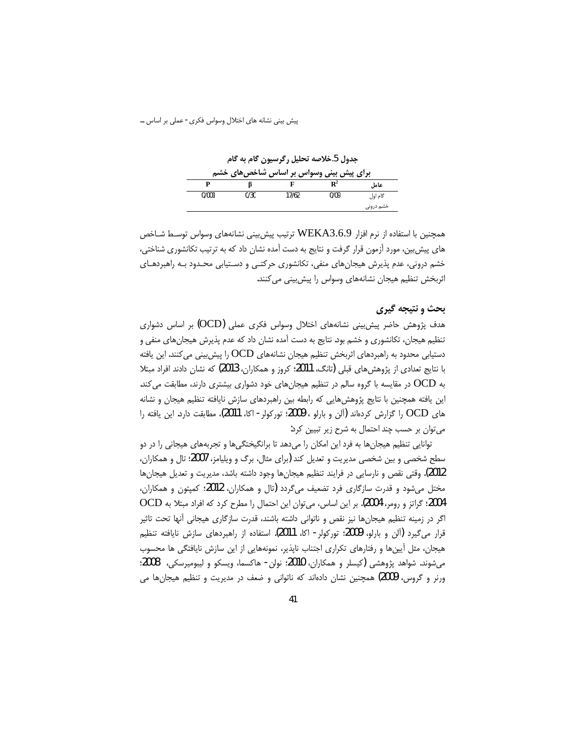جدول 5.خلاصه تحلیل رگرسیون گام به گام

|       |      | برای پیش بینی وسواس بر اساس شاخصهای خشم |                |           |
|-------|------|-----------------------------------------|----------------|-----------|
|       |      |                                         | $\mathbf{R}^2$ | عامل      |
| 0/001 | 0/30 | 17/62                                   | 0/09           | گام اول   |
|       |      |                                         |                | خشم درونی |

همچنین با استفاده از نرم افزار WEKA3.6.9 ترتیب پیش بینی نشانههای وسواس توسـط شـاخص های پیش بین، مورد آزمون قرار گرفت و نتایج به دست آمده نشان داد که به ترتیب تکانشوری شناختی، خشم درونی، عدم پذیرش هیجانهای منفی، تکانشوری حرکتبی و دسـتیابی محـدود بـه راهبردهـای اثربخش تنظیم هیجان نشانههای وسواس را پیش بینی می کنند.

# بحث و نتیجه گیری

هدف پژوهش حاضر پیش بینی نشانههای اختلال وسواس فکری عملی (OCD) بر اساس دشواری تنظیم هیجان، تکانشوری و خشم بود. نتایج به دست آمده نشان داد که عدم پذیرش هیجانهای منفی و دستیابی محدود به راهبردهای اثربخش تنظیم هیجان نشانههای OCD را پیش بینی می کنند. این یافته با نتایج تعدادی از پژوهش های قبلی (تانگ، 2011؛ کروز و همکاران، 2013) که نشان دادند افراد مبتلا به OCD در مقایسه با گروه سالم در تنظیم هیجانهای خود دشواری بیشتری دارند، مطابقت می کند. این یافته همچنین با نتایج پژوهش هایی که رابطه بین راهبردهای سازش نایافته تنظیم هیجان و نشانه های OCD را گزارش کردهاند (آلن و بارلو ، 2009: تورکولر - اکا، 2011)، مطابقت دارد. این یافته را می توان بر حسب چند احتمال به شرح زیر تبیین کرد:

توانایی تنظیم هیجانها به فرد این امکان را میدهد تا برانگیختگیها و تجربههای هیجانی را در دو سطح شخصی و بین شخصی مدیریت و تعدیل کند (برای مثال، برگ و ویلیامز، 2007؛ تال و همکاران، 2012). وقتى نقص و نارسايي در فرايند تنظيم هيجانها وجود داشته باشد، مديريت و تعديل هيجانها مختل میشود و قدرت سازگاری فرد تضعیف میگردد (تال و همکاران، 2012؛ کمپتون و همکاران، 2004؛ گراتز و رومر، 2004). بر این اساس، می توان این احتمال را مطرح کرد که افراد مبتلا به OCD اگر در زمینه تنظیم هیجانها نیز نقص و ناتوانی داشته باشند، قدرت سازگاری هیجانی آنها تحت تاثیر قرار میگیرد (آلن و بارلو، 2009؛ تورکولر - اکا، 2011). استفاده از راهبردهای سازش نایافته تنظیم هیجان، مثل أیینها و رفتارهای تکراری اجتناب ناپذیر، نمونههایی از این سازش نایافتگی ها محسوب میشوند. شواهد پژوهشی (کیسلر و همکاران، 2010؛ نولن- هاکسما، ویسکو و لیبومیرسکی، 2008؛ ورنر و گروس، 2009) همچنین نشان دادهاند که ناتوانی و ضعف در مدیریت و تنظیم هیجانها می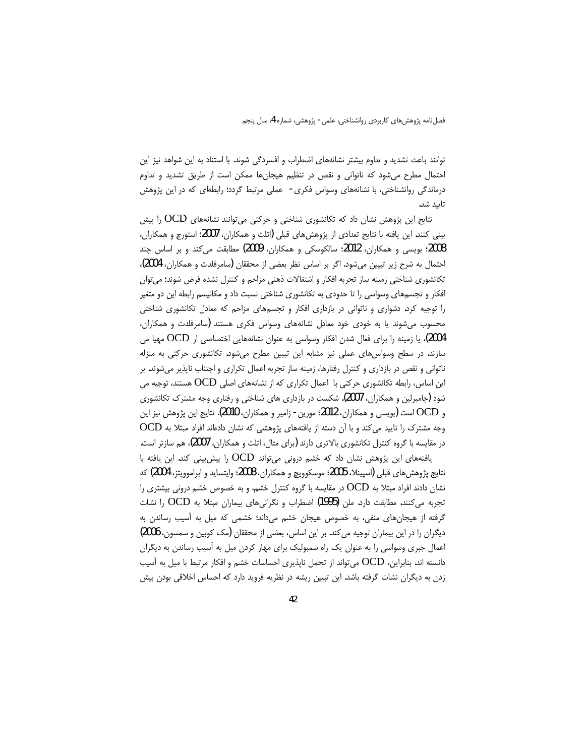توانند باعث تشدید و تداوم بیشتر نشانههای اضطراب و افسردگی شوند. با استناد به این شواهد نیز این احتمال مطرح می شود که ناتوانی و نقص در تنظیم هیجانها ممکن است از طریق تشدید و تداوم درماندگی روانشناختی، با نشانههای وسواس فکری- عملی مرتبط گردد؛ رابطهای که در این پژوهش تاىيد شد.

نتایج این پژوهش نشان داد که تکانشوری شناختی و حرکتی میتوانند نشانههای OCD را پیش بینی کنند. این یافته با نتایج تعدادی از پژوهش۱عای قبلی (اتلت و همکاران، 2007؛ استورچ و همکاران، 2008؛ بویسی و همکاران، 2012؛ سالکوسکی و همکاران، 2009) مطابقت می2ند و بر اساس چند احتمال به شرح زیر تبیین می شود. اگر بر اساس نظر بعضی از محققان (سامرفلدت و همکاران، 2004)، تكانشوري شناختي زمينه ساز تجربه افكار و اشتغالات ذهني مزاحم و كنترل نشده فرض شوند؛ مي¤وان افکار و تجسمهای وسواسی را تا حدودی به تکانشوری شناختی نسبت داد و مکانیسم رابطه این دو متغیر را توجیه کرد. دشواری و ناتوانی در بازداری افکار و تجسمهای مزاحم که معادل تکانشوری شناختی محسوب میشوند یا به خودی خود معادل نشانههای وسواس فکری هستند (سامرفلدت و همکاران، 2004)، یا زمینه را برای فعال شدن افکار وسواسی به عنوان نشانههایی اختصاصی ار OCD مهیا می سازند. در سطح وسواسهای عملی نیز مشابه این تبیین مطرح میشود. تکانشوری حرکتی به منزله ناتوانی و نقص در بازداری و کنترل رفتارها، زمینه ساز تجربه اعمال تکراری و اجتناب ناپذیر میشوند. بر این اساس، رابطه تکانشوری حرکتی با اعمال تکراری که از نشانههای اصلی OCD هستند، توجیه می شود (چامبرلین و همکاران، 2007). شکست در بازداری های شناختی و رفتاری وجه مشترک تکانشوری و OCD است (بويسي و همكاران، 2012؛ مورين - زامير و همكاران، 2010). نتايج اين پژوهش نيز اين وجه مشترک را تایید می کند و با آن دسته از یافتههای پژوهشی که نشان دادهاند افراد مبتلا به OCD در مقایسه با گروه کنترل تکانشوری بالاتری دارند (برای مثال، اتلت و همکاران، 2007)، هم سازتر است. یافتههای این پژوهش نشان داد که خشم درونی می تواند OCD را پیش بینی کند. این یافته با

نتايج پژوهش هاي قبلي (اسپينلا، 2005؛ موسكوويچ و همكاران، 2008؛ وايتسايد و ابراموويتز، 2004) كه نشان دادند افراد مبتلا به  $\rm{OCD}$  در مقایسه با گروه کنترل خشم، و به خصوص خشم درونی بیشتری را تجربه می کنند، مطابقت دارد. ملن (1995) اضطراب و نگرانیهای بیماران مبتلا به OCD را نشات گرفته از هیجانهای منفی، به خصوص هیجان خشم میداند؛ خشمی که میل به آسیب رساندن به دیگران را در این بیماران توجیه می کند. بر این اساس، بعضی از محققان (مک کوبین و سمسون، 2006) اعمال جبری وسواسی را به عنوان یک راه سمبولیک برای مهار کردن میل به اّسیب رساندن به دیگران دانسته اند. بنابراین، OCD می تواند از تحمل ناپذیری احساسات خشم و افکار مرتبط با میل به آسیب زدن به دیگران نشات گرفته باشد. این تبیین ریشه در نظریه فروید دارد که احساس اخلاقی بودن بیش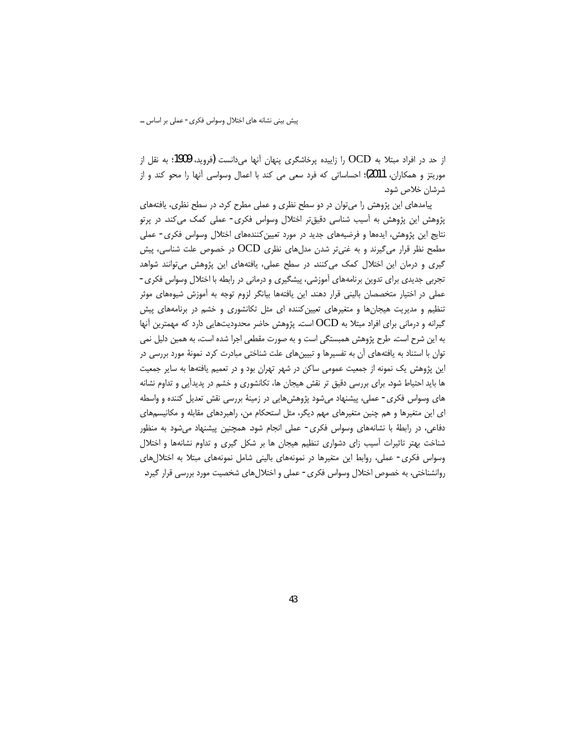از حد در افراد مبتلا به OCD را زاییده پرخاشگری پنهان آنها میدانست (فروید، 1909؛ به نقل از موريتز و همكاران، 2011)؛ احساساتي كه فرد سعى مي كند با اعمال وسواسي أنها را محو كند و از شرشان خلاص شود.

پیامدهای این پژوهش را می توان در دو سطح نظری و عملی مطرح کرد. در سطح نظری، یافتههای پژوهش این پژوهش به اّسیب شناسی دقیقتر اختلال وسواس فکری- عملی کمک میکند. در پرتو نتایج این پژوهش، ایدهها و فرضیههای جدید در مورد تعیین کنندههای اختلال وسواس فکری- عملی مطمح نظر قرار میگیرند و به غنی $\rm\,$ ر شدن مدلهای نظری  $\rm{OCD}$  در خصوص علت شناسی، پیش گیری و درمان این اختلال کمک میکنند. در سطح عملی، یافتههای این پژوهش میتوانند شواهد تجربی جدیدی برای تدوین برنامههای آموزشی، پیشگیری و درمانی در رابطه با اختلال وسواس فکری-عملی در اختیار متخصصان بالینی قرار دهند. این یافتهها بیانگر لزوم توجه به آموزش شیوههای موثر تنظیم و مدیریت هیجانها و متغیرهای تعیین کننده ای مثل تکانشوری و خشم در برنامههای پیش گیرانه و درمانی برای افراد مبتلا به OCD است. پژوهش حاضر محدودیتهایی دارد که مهمترین آنها به این شرح است. طرح پژوهش همبستگی است و به صورت مقطعی اجرا شده است، به همین دلیل نمی توان با استناد به یافتههای آن به تفسیرها و تبیینهای علت شناختی مبادرت کرد. نمونهٔ مورد بررسی در این پژوهش یک نمونه از جمعیت عمومی ساکن در شهر تهران بود و در تعمیم یافتهها به سایر جمعیت ها باید احتیاط شود. برای بررسی دقیق تر نقش هیجان ها، تکانشوری و خشم در پدیدآیی و تداوم نشانه های وسواس فکری- عملی، پیشنهاد میشود پژوهشهایی در زمینهٔ بررسی نقش تعدیل کننده و واسطه ای این متغیرها و هم چنین متغیرهای مهم دیگر، مثل استحکام من، راهبردهای مقابله و مکانیسمهای دفاعی، در رابطهٔ با نشانههای وسواس فکری- عملی انجام شود. همچنین پیشنهاد میشود به منظور شناخت بهتر تاثیرات أسیب زای دشواری تنظیم هیجان ها بر شکل گیری و تداوم نشانهها و اختلال وسواس فكرى- عملي، روابط اين متغيرها در نمونههاى بالينى شامل نمونههاى مبتلا به اختلال هاى روانشناختی، به خصوص اختلال وسواس فکری- عملی و اختلال های شخصیت مورد بررسی قرار گیرد.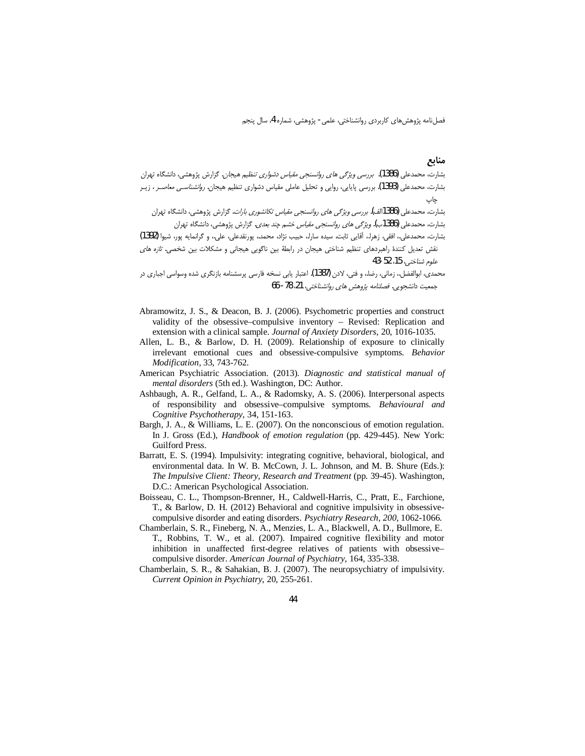#### منابع

بشارت، محمدعلی (1386). برر*سی ویژگی های روانسنجی مقیاس دشواری تنظی*م *هیجان.* گزارش پژوهشی، دانشگاه تهران بشارت، محمدعلی (1393). بررسی پایایی، روایی و تحلیل عاملی مقیاس دشواری تنظیم هیجان. *روانشناسی معاصـر ،* زیـر چاپ

.<br>بشارت، محمدعلی (1386الف). *بررسی ویژگی های روانسنجی مقیاس تکانشوری بارات*. گزارش پژوهشی، دانشگاه تهران بشارت، محمدعلی (1386ب). *ویژگی های روانسنجی مقیاس خش*م چ*ند بعدی*. گزارش پژوهشی، دانشگاه تهران

بشارت، محمدعلي، افقي، زهرا، أقايي ثابت، سيده سارا، حبيب نژاد، محمد، پورنقدعلي، علي، و گرانمايه پور، شيوا (1392) نقش تعدیل کنندهٔ راهبردهای تنظیم شناختی هیجان در رابطهٔ بین ناگویی هیجانی و مشکلات بین شخصی. *تازه های* علوم شناختي، 15، 52-43

محمدی، ابوالفضل، زمانی، رضا، و فتی، لادن **(1387)**. اعتبار یابی نسخه فارسی پرسشنامه بازنگری شده وسواسی اجباری در جمعيت دانشجويي. *فصلنامه پژوهش هاي روانشناختي،* 21، 78- 66

- Abramowitz, J. S., & Deacon, B. J. (2006). Psychometric properties and construct validity of the obsessive–compulsive inventory – Revised: Replication and extension with a clinical sample. Journal of Anxiety Disorders, 20, 1016-1035.
- Allen, L. B., & Barlow, D. H. (2009). Relationship of exposure to clinically irrelevant emotional cues and obsessive-compulsive symptoms. Behavior Modification, 33, 743-762.
- American Psychiatric Association. (2013). Diagnostic and statistical manual of mental disorders (5th ed.). Washington, DC: Author.
- Ashbaugh, A. R., Gelfand, L. A., & Radomsky, A. S. (2006). Interpersonal aspects of responsibility and obsessive-compulsive symptoms. Behavioural and Cognitive Psychotherapy, 34, 151-163.
- Bargh, J. A., & Williams, L. E. (2007). On the nonconscious of emotion regulation. In J. Gross (Ed.), Handbook of emotion regulation (pp. 429-445). New York: Guilford Press.
- Barratt, E. S. (1994). Impulsivity: integrating cognitive, behavioral, biological, and environmental data. In W. B. McCown, J. L. Johnson, and M. B. Shure (Eds.): The Impulsive Client: Theory, Research and Treatment (pp. 39-45). Washington, D.C.: American Psychological Association.
- Boisseau, C. L., Thompson-Brenner, H., Caldwell-Harris, C., Pratt, E., Farchione, T., & Barlow, D. H. (2012) Behavioral and cognitive impulsivity in obsessivecompulsive disorder and eating disorders. Psychiatry Research, 200, 1062-1066.
- Chamberlain, S. R., Fineberg, N. A., Menzies, L. A., Blackwell, A. D., Bullmore, E. T., Robbins, T. W., et al. (2007). Impaired cognitive flexibility and motor inhibition in unaffected first-degree relatives of patients with obsessivecompulsive disorder. American Journal of Psychiatry, 164, 335-338.
- Chamberlain, S. R., & Sahakian, B. J. (2007). The neuropsychiatry of impulsivity. Current Opinion in Psychiatry, 20, 255-261.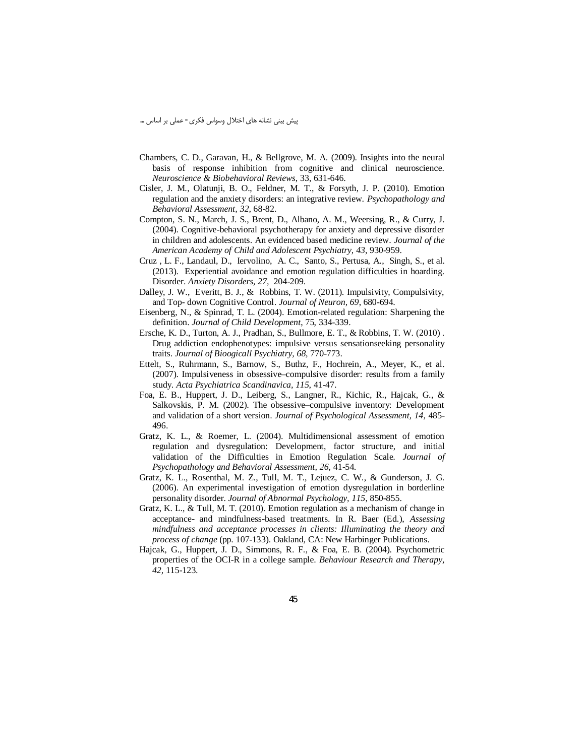- Chambers, C. D., Garavan, H., & Bellgrove, M. A. (2009). Insights into the neural basis of response inhibition from cognitive and clinical neuroscience. Neuroscience & Biobehavioral Reviews, 33, 631-646.
- Cisler, J. M., Olatunji, B. O., Feldner, M. T., & Forsyth, J. P. (2010). Emotion regulation and the anxiety disorders: an integrative review. Psychopathology and Behavioral Assessment, 32, 68-82.
- Compton, S. N., March, J. S., Brent, D., Albano, A. M., Weersing, R., & Curry, J. (2004). Cognitive-behavioral psychotherapy for anxiety and depressive disorder in children and adolescents. An evidenced based medicine review. Journal of the American Academy of Child and Adolescent Psychiatry, 43, 930-959.
- Cruz, L. F., Landaul, D., Iervolino, A. C., Santo, S., Pertusa, A., Singh, S., et al. (2013). Experiential avoidance and emotion regulation difficulties in hoarding. Disorder. Anxiety Disorders, 27, 204-209.
- Dalley, J. W., Everitt, B. J., & Robbins, T. W. (2011). Impulsivity, Compulsivity, and Top- down Cognitive Control. Journal of Neuron, 69, 680-694.
- Eisenberg, N., & Spinrad, T. L. (2004). Emotion-related regulation: Sharpening the definition. Journal of Child Development, 75, 334-339.
- Ersche, K. D., Turton, A. J., Pradhan, S., Bullmore, E. T., & Robbins, T. W. (2010). Drug addiction endophenotypes: impulsive versus sensationseeking personality traits. Journal of Bioogicall Psychiatry, 68, 770-773.
- Ettelt, S., Ruhrmann, S., Barnow, S., Buthz, F., Hochrein, A., Meyer, K., et al. (2007). Impulsiveness in obsessive–compulsive disorder: results from a family study. Acta Psychiatrica Scandinavica, 115, 41-47.
- Foa, E. B., Huppert, J. D., Leiberg, S., Langner, R., Kichic, R., Hajcak, G., & Salkovskis, P. M. (2002). The obsessive–compulsive inventory: Development and validation of a short version. Journal of Psychological Assessment, 14, 485-496.
- Gratz, K. L., & Roemer, L. (2004). Multidimensional assessment of emotion regulation and dysregulation: Development, factor structure, and initial validation of the Difficulties in Emotion Regulation Scale. Journal of Psychopathology and Behavioral Assessment, 26, 41-54.
- Gratz, K. L., Rosenthal, M. Z., Tull, M. T., Lejuez, C. W., & Gunderson, J. G. (2006). An experimental investigation of emotion dysregulation in borderline personality disorder. Journal of Abnormal Psychology, 115, 850-855.
- Gratz, K. L., & Tull, M. T. (2010). Emotion regulation as a mechanism of change in acceptance- and mindfulness-based treatments. In R. Baer (Ed.), Assessing mindfulness and acceptance processes in clients: Illuminating the theory and process of change (pp. 107-133). Oakland, CA: New Harbinger Publications.
- Hajcak, G., Huppert, J. D., Simmons, R. F., & Foa, E. B. (2004). Psychometric properties of the OCI-R in a college sample. Behaviour Research and Therapy, 42, 115-123.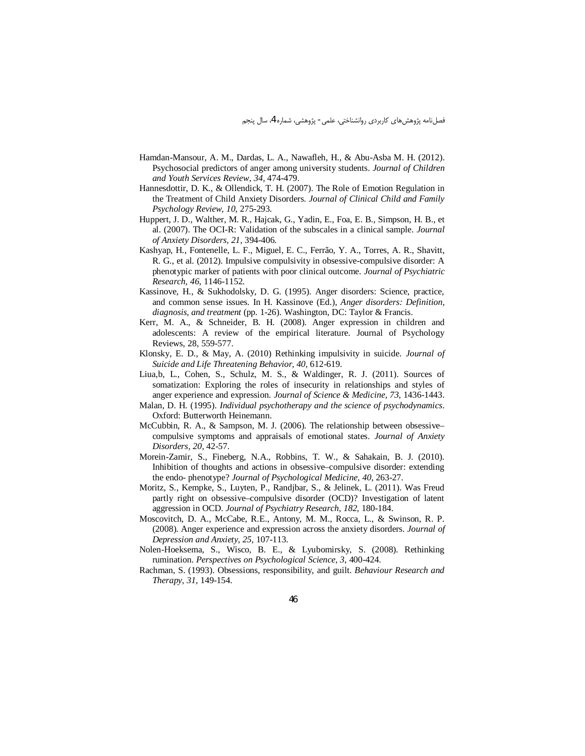- Hamdan-Mansour, A. M., Dardas, L. A., Nawafleh, H., & Abu-Asba M. H. (2012). Psychosocial predictors of anger among university students. Journal of Children and Youth Services Review, 34, 474-479.
- Hannesdottir, D. K., & Ollendick, T. H. (2007). The Role of Emotion Regulation in the Treatment of Child Anxiety Disorders. Journal of Clinical Child and Family Psychology Review, 10, 275-293.
- Huppert, J. D., Walther, M. R., Hajcak, G., Yadin, E., Foa, E. B., Simpson, H. B., et al. (2007). The OCI-R: Validation of the subscales in a clinical sample. Journal of Anxiety Disorders, 21, 394-406.
- Kashyap, H., Fontenelle, L. F., Miguel, E. C., Ferrão, Y. A., Torres, A. R., Shavitt, R. G., et al. (2012). Impulsive compulsivity in obsessive-compulsive disorder: A phenotypic marker of patients with poor clinical outcome. Journal of Psychiatric Research, 46, 1146-1152.
- Kassinove, H., & Sukhodolsky, D. G. (1995). Anger disorders: Science, practice, and common sense issues. In H. Kassinove (Ed.), *Anger disorders: Definition*, *diagnosis, and treatment* (pp. 1-26). Washington, DC: Taylor & Francis.
- Kerr, M. A., & Schneider, B. H. (2008). Anger expression in children and adolescents: A review of the empirical literature. Journal of Psychology Reviews, 28, 559-577.
- Klonsky, E. D., & May, A. (2010) Rethinking impulsivity in suicide. Journal of Suicide and Life Threatening Behavior, 40, 612-619.
- Liua, b, L., Cohen, S., Schulz, M. S., & Waldinger, R. J. (2011). Sources of somatization: Exploring the roles of insecurity in relationships and styles of anger experience and expression. Journal of Science & Medicine, 73, 1436-1443.
- Malan, D. H. (1995). *Individual psychotherapy and the science of psychodynamics*. Oxford: Butterworth Heinemann.
- McCubbin, R. A., & Sampson, M. J. (2006). The relationship between obsessivecompulsive symptoms and appraisals of emotional states. Journal of Anxiety Disorders, 20, 42-57.
- Morein-Zamir, S., Fineberg, N.A., Robbins, T. W., & Sahakain, B. J. (2010). Inhibition of thoughts and actions in obsessive-compulsive disorder: extending the endo-phenotype? Journal of Psychological Medicine, 40, 263-27.
- Moritz, S., Kempke, S., Luyten, P., Randjbar, S., & Jelinek, L. (2011). Was Freud partly right on obsessive-compulsive disorder (OCD)? Investigation of latent aggression in OCD. Journal of Psychiatry Research, 182, 180-184.
- Moscovitch, D. A., McCabe, R.E., Antony, M. M., Rocca, L., & Swinson, R. P. (2008). Anger experience and expression across the anxiety disorders. Journal of Depression and Anxiety, 25, 107-113.
- Nolen-Hoeksema, S., Wisco, B. E., & Lyubomirsky, S. (2008). Rethinking rumination. Perspectives on Psychological Science, 3, 400-424.
- Rachman, S. (1993). Obsessions, responsibility, and guilt. Behaviour Research and Therapy, 31, 149-154.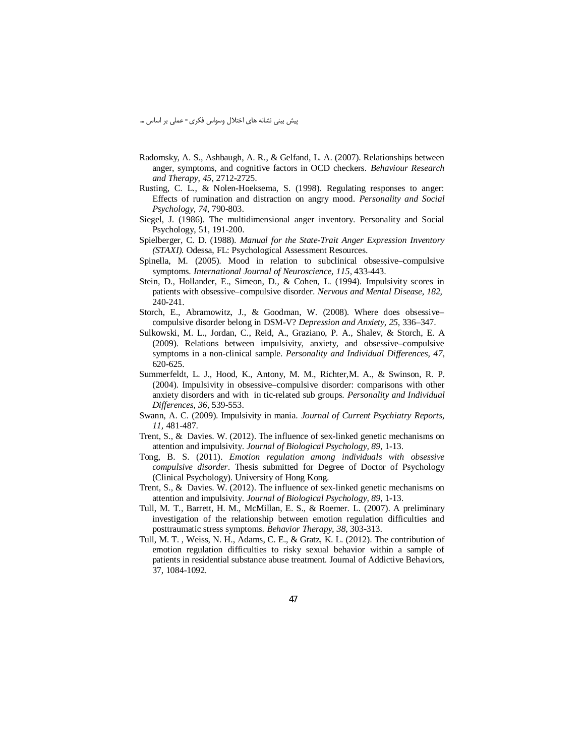- Radomsky, A. S., Ashbaugh, A. R., & Gelfand, L. A. (2007). Relationships between anger, symptoms, and cognitive factors in OCD checkers. Behaviour Research and Therapy, 45, 2712-2725.
- Rusting, C. L., & Nolen-Hoeksema, S. (1998). Regulating responses to anger: Effects of rumination and distraction on angry mood. Personality and Social Psychology, 74, 790-803.
- Siegel, J. (1986). The multidimensional anger inventory. Personality and Social Psychology, 51, 191-200.
- Spielberger, C. D. (1988). Manual for the State-Trait Anger Expression Inventory (STAXI). Odessa, FL: Psychological Assessment Resources.
- Spinella, M. (2005). Mood in relation to subclinical obsessive-compulsive symptoms. International Journal of Neuroscience, 115, 433-443.
- Stein, D., Hollander, E., Simeon, D., & Cohen, L. (1994). Impulsivity scores in patients with obsessive–compulsive disorder. Nervous and Mental Disease, 182, 240-241.
- Storch, E., Abramowitz, J., & Goodman, W. (2008). Where does obsessive compulsive disorder belong in DSM-V? Depression and Anxiety, 25, 336-347.
- Sulkowski, M. L., Jordan, C., Reid, A., Graziano, P. A., Shalev, & Storch, E. A. (2009). Relations between impulsivity, anxiety, and obsessive–compulsive symptoms in a non-clinical sample. Personality and Individual Differences, 47, 620-625.
- Summerfeldt, L. J., Hood, K., Antony, M. M., Richter, M. A., & Swinson, R. P. (2004). Impulsivity in obsessive–compulsive disorder: comparisons with other anxiety disorders and with in tic-related sub groups. Personality and Individual Differences, 36, 539-553.
- Swann, A. C. (2009). Impulsivity in mania. Journal of Current Psychiatry Reports, 11, 481-487.
- Trent, S., & Davies. W. (2012). The influence of sex-linked genetic mechanisms on attention and impulsivity. Journal of Biological Psychology, 89, 1-13.
- Tong, B. S. (2011). Emotion regulation among individuals with obsessive compulsive disorder. Thesis submitted for Degree of Doctor of Psychology (Clinical Psychology). University of Hong Kong.
- Trent, S., & Davies. W. (2012). The influence of sex-linked genetic mechanisms on attention and impulsivity. Journal of Biological Psychology, 89, 1-13.
- Tull, M. T., Barrett, H. M., McMillan, E. S., & Roemer. L. (2007). A preliminary investigation of the relationship between emotion regulation difficulties and posttraumatic stress symptoms. Behavior Therapy, 38, 303-313.
- Tull, M. T., Weiss, N. H., Adams, C. E., & Gratz, K. L. (2012). The contribution of emotion regulation difficulties to risky sexual behavior within a sample of patients in residential substance abuse treatment. Journal of Addictive Behaviors, 37, 1084-1092.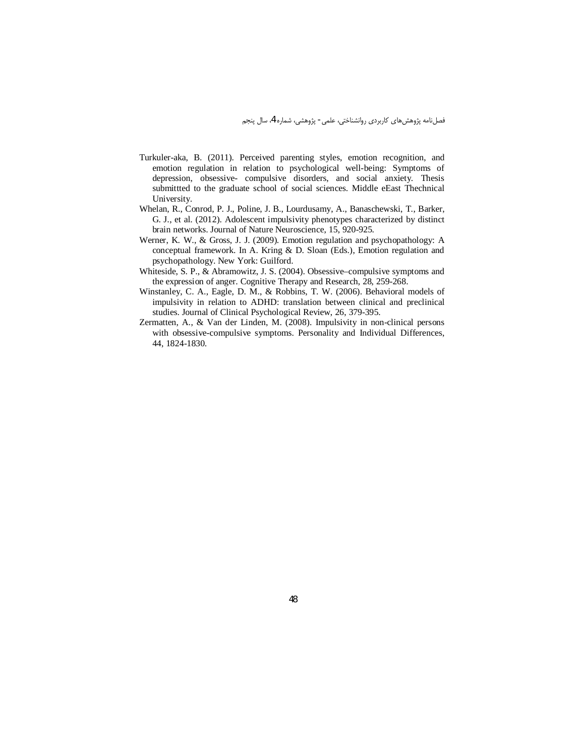- Turkuler-aka, B. (2011). Perceived parenting styles, emotion recognition, and emotion regulation in relation to psychological well-being: Symptoms of depression, obsessive- compulsive disorders, and social anxiety. Thesis submitted to the graduate school of social sciences. Middle eEast Thechnical University.
- Whelan, R., Conrod, P. J., Poline, J. B., Lourdusamy, A., Banaschewski, T., Barker, G. J., et al. (2012). Adolescent impulsivity phenotypes characterized by distinct brain networks. Journal of Nature Neuroscience, 15, 920-925.
- Werner, K. W., & Gross, J. J. (2009). Emotion regulation and psychopathology: A conceptual framework. In A. Kring & D. Sloan (Eds.), Emotion regulation and psychopathology. New York: Guilford.
- Whiteside, S. P., & Abramowitz, J. S. (2004). Obsessive-compulsive symptoms and the expression of anger. Cognitive Therapy and Research, 28, 259-268.
- Winstanley, C. A., Eagle, D. M., & Robbins, T. W. (2006). Behavioral models of impulsivity in relation to ADHD: translation between clinical and preclinical studies. Journal of Clinical Psychological Review, 26, 379-395.
- Zermatten, A., & Van der Linden, M. (2008). Impulsivity in non-clinical persons with obsessive-compulsive symptoms. Personality and Individual Differences, 44, 1824-1830.